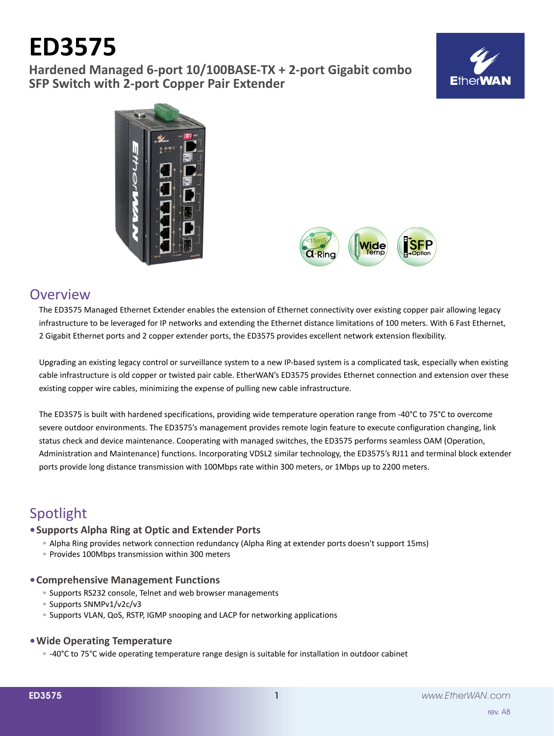# **ED3575**

**Hardened Managed 6-port 10/100BASE-TX + 2-port Gigabit combo SFP Switch with 2-port Copper Pair Extender**







# **Overview**

The ED3575 Managed Ethernet Extender enables the extension of Ethernet connectivity over existing copper pair allowing legacy infrastructure to be leveraged for IP networks and extending the Ethernet distance limitations of 100 meters. With 6 Fast Ethernet, 2 Gigabit Ethernet ports and 2 copper extender ports, the ED3575 provides excellent network extension flexibility.

Upgrading an existing legacy control or surveillance system to a new IP-based system is a complicated task, especially when existing cable infrastructure is old copper or twisted pair cable. EtherWAN's ED3575 provides Ethernet connection and extension over these existing copper wire cables, minimizing the expense of pulling new cable infrastructure.

The ED3575 is built with hardened specifications, providing wide temperature operation range from -40°C to 75°C to overcome severe outdoor environments. The ED3575's management provides remote login feature to execute configuration changing, link status check and device maintenance. Cooperating with managed switches, the ED3575 performs seamless OAM (Operation, Administration and Maintenance) functions. Incorporating VDSL2 similar technology, the ED3575's RJ11 and terminal block extender ports provide long distance transmission with 100Mbps rate within 300 meters, or 1Mbps up to 2200 meters.

# Spotlight

# **• Supports Alpha Ring at Optic and Extender Ports**

- Alpha Ring provides network connection redundancy (Alpha Ring at extender ports doesn't support 15ms)
- Provides 100Mbps transmission within 300 meters

## **• Comprehensive Management Functions**

- Supports RS232 console, Telnet and web browser managements
- Supports SNMPv1/v2c/v3
- Supports VLAN, QoS, RSTP, IGMP snooping and LACP for networking applications

## **• Wide Operating Temperature**

◦ -40°C to 75°C wide operating temperature range design is suitable for installation in outdoor cabinet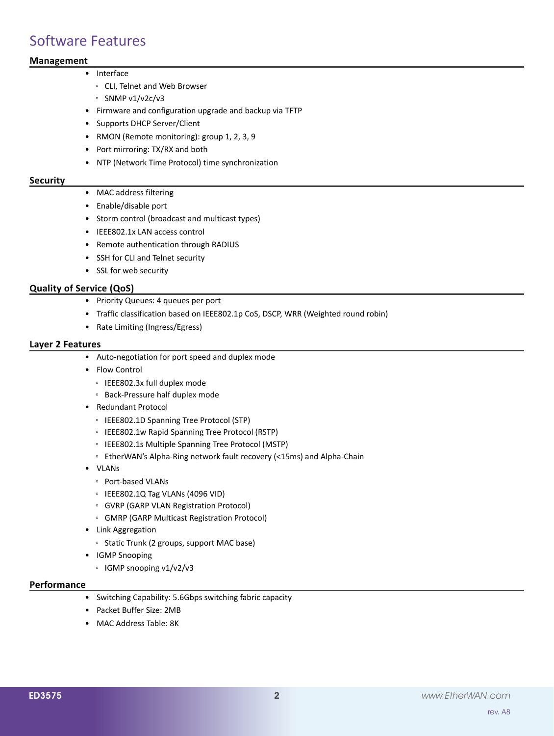# Software Features

# **Management**

- • Interface
	- CLI, Telnet and Web Browser
	- SNMP v1/v2c/v3
	- • Firmware and configuration upgrade and backup via TFTP
	- • Supports DHCP Server/Client
	- • RMON (Remote monitoring): group 1, 2, 3, 9
	- Port mirroring: TX/RX and both
	- • NTP (Network Time Protocol) time synchronization

#### **Security**

- MAC address filtering
- • Enable/disable port
- • Storm control (broadcast and multicast types)
- • IEEE802.1x LAN access control
- • Remote authentication through RADIUS
- • SSH for CLI and Telnet security
- • SSL for web security

### **Quality of Service (QoS)**

- • Priority Queues: 4 queues per port
- Traffic classification based on IEEE802.1p CoS, DSCP, WRR (Weighted round robin)
- • Rate Limiting (Ingress/Egress)

#### **Layer 2 Features**

- • Auto-negotiation for port speed and duplex mode
- • Flow Control
	- IEEE802.3x full duplex mode
	- Back-Pressure half duplex mode
- • Redundant Protocol
	- IEEE802.1D Spanning Tree Protocol (STP)
	- IEEE802.1w Rapid Spanning Tree Protocol (RSTP)
	- IEEE802.1s Multiple Spanning Tree Protocol (MSTP)
	- EtherWAN's Alpha-Ring network fault recovery (<15ms) and Alpha-Chain
- • VLANs
	- Port-based VLANs
	- IEEE802.1Q Tag VLANs (4096 VID)
	- GVRP (GARP VLAN Registration Protocol)
	- GMRP (GARP Multicast Registration Protocol)
- • Link Aggregation
	- Static Trunk (2 groups, support MAC base)
- • IGMP Snooping
	- IGMP snooping v1/v2/v3

### **Performance**

- • Switching Capability: 5.6Gbps switching fabric capacity
- • Packet Buffer Size: 2MB
- MAC Address Table: 8K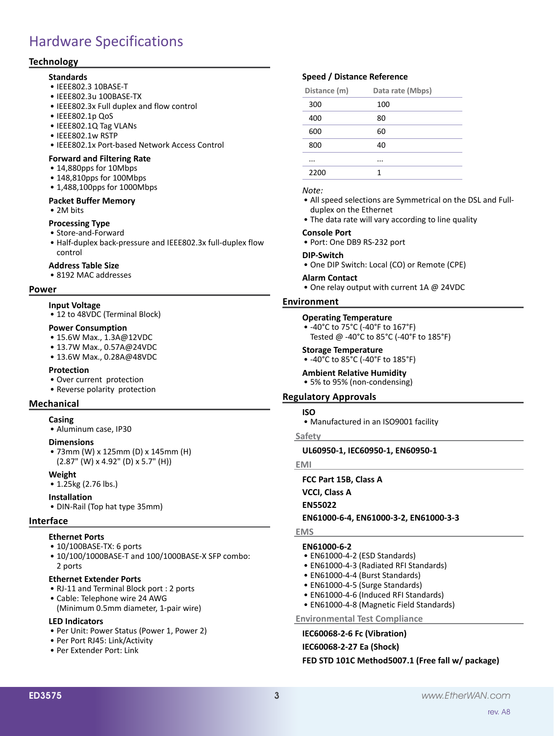# Hardware Specifications

### **Technology**

#### **Standards**

- • IEEE802.3 10BASE-T
- • IEEE802.3u 100BASE-TX
- IEEE802.3x Full duplex and flow control
- • IEEE802.1p QoS
- • IEEE802.1Q Tag VLANs
- • IEEE802.1w RSTP
- • IEEE802.1x Port-based Network Access Control

#### **Forward and Filtering Rate**

- 14,880pps for 10Mbps
- • 148,810pps for 100Mbps
- 1,488,100pps for 1000Mbps

#### **Packet Buffer Memory**

• 2M bits

#### **Processing Type**

- • Store-and-Forward
- Half-duplex back-pressure and IEEE802.3x full-duplex flow control

#### **Address Table Size**

• 8192 MAC addresses

#### **Power**

#### **Input Voltage**

• 12 to 48VDC (Terminal Block)

#### **Power Consumption**

- 15.6W Max., 1.3A@12VDC
- 13.7W Max., 0.57A@24VDC
- 13.6W Max., 0.28A@48VDC

#### **Protection**

- • Over current protection
- Reverse polarity protection

#### **Mechanical**

## **Casing**

• Aluminum case, IP30

#### **Dimensions**

• 73mm (W) x 125mm (D) x 145mm (H) (2.87" (W) x 4.92" (D) x 5.7" (H))

#### **Weight**

• 1.25kg (2.76 lbs.)

#### **Installation**

• DIN-Rail (Top hat type 35mm)

#### **Interface**

#### **Ethernet Ports**

- 10/100BASE-TX: 6 ports
- 10/100/1000BASE-T and 100/1000BASE-X SFP combo: 2 ports

#### **Ethernet Extender Ports**

- • RJ-11 and Terminal Block port : 2 ports
- • Cable: Telephone wire 24 AWG (Minimum 0.5mm diameter, 1-pair wire)

#### **LED Indicators**

- Per Unit: Power Status (Power 1, Power 2)
- • Per Port RJ45: Link/Activity
- • Per Extender Port: Link

# **Speed / Distance Reference**

| Distance (m) | Data rate (Mbps) |
|--------------|------------------|
| 300          | 100              |
| 400          | 80               |
| 600          | 60               |
| 800          | 40               |
|              |                  |
| 2200         | 1                |
|              |                  |

#### *Note:*

- All speed selections are Symmetrical on the DSL and Fullduplex on the Ethernet
- The data rate will vary according to line quality

#### **Console Port**

• Port: One DB9 RS-232 port

#### **DIP-Switch**

• One DIP Switch: Local (CO) or Remote (CPE)

#### **Alarm Contact** • One relay output with current 1A @ 24VDC

#### **Environment**

#### **Operating Temperature**

- • -40°C to 75°C (-40°F to 167°F)
	- Tested @ -40°C to 85°C (-40°F to 185°F)

#### **Storage Temperature**

- • -40°C to 85°C (-40°F to 185°F)
- **Ambient Relative Humidity**

• 5% to 95% (non-condensing)

#### **Regulatory Approvals**

#### **ISO**

• Manufactured in an ISO9001 facility

#### **Safety**

**UL60950-1, IEC60950-1, EN60950-1**

**EMI**

**FCC Part 15B, Class A**

**VCCI, Class A**

**EN55022**

#### **EN61000-6-4, EN61000-3-2, EN61000-3-3**

#### **EMS**

#### **EN61000-6-2**

- EN61000-4-2 (ESD Standards)
- EN61000-4-3 (Radiated RFI Standards)
- EN61000-4-4 (Burst Standards)
- EN61000-4-5 (Surge Standards)
- EN61000-4-6 (Induced RFI Standards)
- • EN61000-4-8 (Magnetic Field Standards)

#### **Environmental Test Compliance**

**IEC60068-2-6 Fc (Vibration) IEC60068-2-27 Ea (Shock) FED STD 101C Method5007.1 (Free fall w/ package)**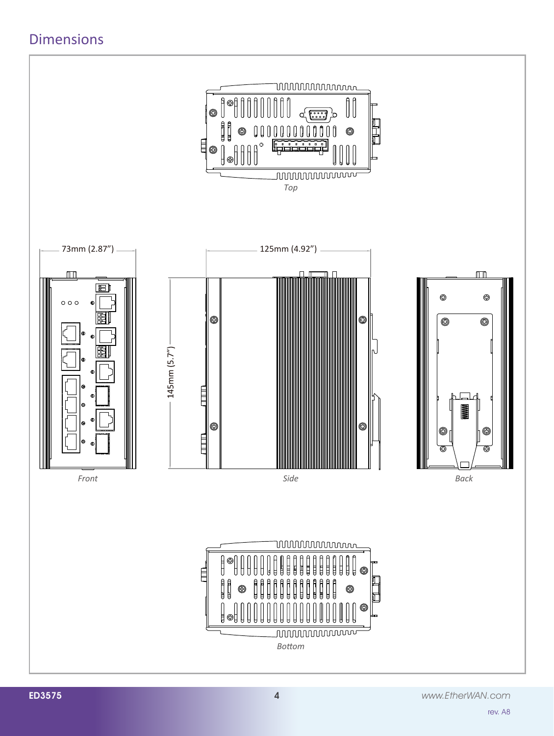# Dimensions